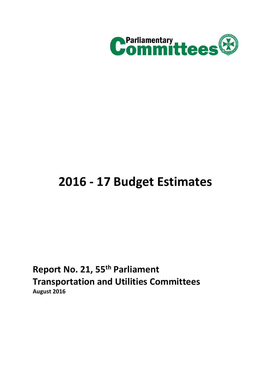

# **2016 - 17 Budget Estimates**

**Report No. 21, 55th Parliament Transportation and Utilities Committees August 2016**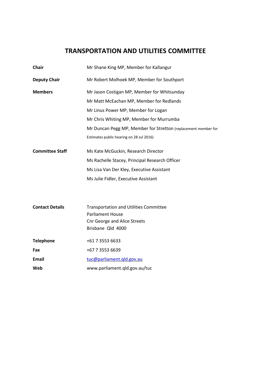# **TRANSPORTATION AND UTILITIES COMMITTEE**

| <b>Chair</b>           | Mr Shane King MP, Member for Kallangur                         |
|------------------------|----------------------------------------------------------------|
| <b>Deputy Chair</b>    | Mr Robert Molhoek MP, Member for Southport                     |
| <b>Members</b>         | Mr Jason Costigan MP, Member for Whitsunday                    |
|                        | Mr Matt McEachan MP, Member for Redlands                       |
|                        | Mr Linus Power MP, Member for Logan                            |
|                        | Mr Chris Whiting MP, Member for Murrumba                       |
|                        | Mr Duncan Pegg MP, Member for Stretton (replacement member for |
|                        | Estimates public hearing on 28 Jul 2016)                       |
| <b>Committee Staff</b> | Ms Kate McGuckin, Research Director                            |
|                        | Ms Rachelle Stacey, Principal Research Officer                 |
|                        | Ms Lisa Van Der Kley, Executive Assistant                      |
|                        | Ms Julie Fidler, Executive Assistant                           |
|                        |                                                                |
|                        |                                                                |
| <b>Contact Details</b> | <b>Transportation and Utilities Committee</b>                  |
|                        | <b>Parliament House</b>                                        |
|                        | <b>Cnr George and Alice Streets</b><br>Brisbane Qld 4000       |
|                        |                                                                |
| <b>Telephone</b>       | +61 7 3553 6633                                                |
| Fax                    | +67 7 3553 6639                                                |
| <b>Email</b>           | tuc@parliament.gld.gov.au                                      |
| Web                    | www.parliament.qld.gov.au/tuc                                  |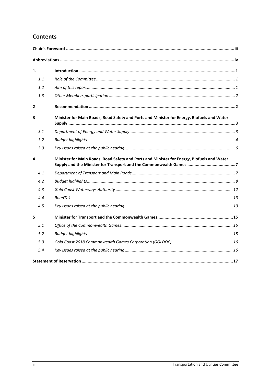# **Contents**

| 1.             |     |                                                                                            |  |
|----------------|-----|--------------------------------------------------------------------------------------------|--|
|                | 1.1 |                                                                                            |  |
|                | 1.2 |                                                                                            |  |
|                | 1.3 |                                                                                            |  |
| $\overline{2}$ |     |                                                                                            |  |
| 3              |     | Minister for Main Roads, Road Safety and Ports and Minister for Energy, Biofuels and Water |  |
|                | 3.1 |                                                                                            |  |
|                | 3.2 |                                                                                            |  |
|                | 3.3 |                                                                                            |  |
| 4              |     | Minister for Main Roads, Road Safety and Ports and Minister for Energy, Biofuels and Water |  |
|                |     |                                                                                            |  |
|                | 4.1 |                                                                                            |  |
|                | 4.2 |                                                                                            |  |
|                | 4.3 |                                                                                            |  |
|                | 4.4 |                                                                                            |  |
|                | 4.5 |                                                                                            |  |
| 5              |     |                                                                                            |  |
|                | 5.1 |                                                                                            |  |
|                | 5.2 |                                                                                            |  |
|                | 5.3 |                                                                                            |  |
|                | 5.4 |                                                                                            |  |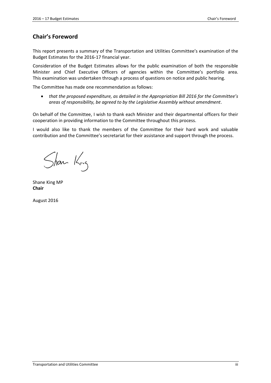# <span id="page-4-0"></span>**Chair's Foreword**

This report presents a summary of the Transportation and Utilities Committee's examination of the Budget Estimates for the 2016-17 financial year.

Consideration of the Budget Estimates allows for the public examination of both the responsible Minister and Chief Executive Officers of agencies within the Committee's portfolio area. This examination was undertaken through a process of questions on notice and public hearing.

The Committee has made one recommendation as follows:

 *that the proposed expenditure, as detailed in the Appropriation Bill 2016 for the Committee's areas of responsibility, be agreed to by the Legislative Assembly without amendment*.

On behalf of the Committee, I wish to thank each Minister and their departmental officers for their cooperation in providing information to the Committee throughout this process.

I would also like to thank the members of the Committee for their hard work and valuable contribution and the Committee's secretariat for their assistance and support through the process.

Shan King

Shane King MP **Chair**

August 2016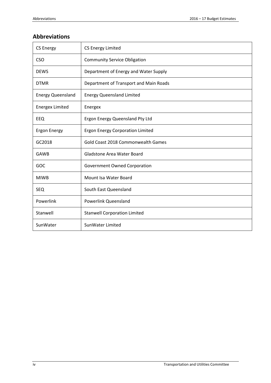# <span id="page-5-0"></span>**Abbreviations**

| <b>CS Energy</b>         | <b>CS Energy Limited</b>                |
|--------------------------|-----------------------------------------|
| <b>CSO</b>               | <b>Community Service Obligation</b>     |
| <b>DEWS</b>              | Department of Energy and Water Supply   |
| <b>DTMR</b>              | Department of Transport and Main Roads  |
| <b>Energy Queensland</b> | <b>Energy Queensland Limited</b>        |
| <b>Energex Limited</b>   | Energex                                 |
| EEQ                      | Ergon Energy Queensland Pty Ltd         |
| <b>Ergon Energy</b>      | <b>Ergon Energy Corporation Limited</b> |
| GC2018                   | Gold Coast 2018 Commonwealth Games      |
| <b>GAWB</b>              | Gladstone Area Water Board              |
| GOC                      | Government Owned Corporation            |
| <b>MIWB</b>              | Mount Isa Water Board                   |
| <b>SEQ</b>               | South East Queensland                   |
| Powerlink                | <b>Powerlink Queensland</b>             |
| Stanwell                 | <b>Stanwell Corporation Limited</b>     |
| SunWater                 | SunWater Limited                        |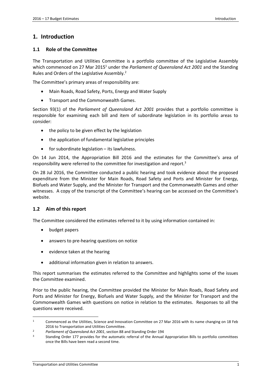# <span id="page-6-0"></span>**1. Introduction**

## <span id="page-6-1"></span>**1.1 Role of the Committee**

The Transportation and Utilities Committee is a portfolio committee of the Legislative Assembly which commenced on 27 Mar 2015<sup>1</sup> under the *Parliament of Queensland Act 2001* and the Standing Rules and Orders of the Legislative Assembly.<sup>2</sup>

The Committee's primary areas of responsibility are:

- Main Roads, Road Safety, Ports, Energy and Water Supply
- Transport and the Commonwealth Games.

Section 93(1) of the *Parliament of Queensland Act 2001* provides that a portfolio committee is responsible for examining each bill and item of subordinate legislation in its portfolio areas to consider:

- the policy to be given effect by the legislation
- the application of fundamental legislative principles
- for subordinate legislation its lawfulness.

On 14 Jun 2014, the Appropriation Bill 2016 and the estimates for the Committee's area of responsibility were referred to the committee for investigation and report.<sup>3</sup>

On 28 Jul 2016, the Committee conducted a public hearing and took evidence about the proposed expenditure from the Minister for Main Roads, Road Safety and Ports and Minister for Energy, Biofuels and Water Supply, and the Minister for Transport and the Commonwealth Games and other witnesses. A copy of the transcript of the Committee's hearing can be accessed on the Committee's website.

#### <span id="page-6-2"></span>**1.2 Aim of this report**

The Committee considered the estimates referred to it by using information contained in:

- budget papers
- answers to pre-hearing questions on notice
- evidence taken at the hearing
- additional information given in relation to answers.

This report summarises the estimates referred to the Committee and highlights some of the issues the Committee examined.

Prior to the public hearing, the Committee provided the Minister for Main Roads, Road Safety and Ports and Minister for Energy, Biofuels and Water Supply, and the Minister for Transport and the Commonwealth Games with questions on notice in relation to the estimates. Responses to all the questions were received.

<sup>1</sup> Commenced as the Utilities, Science and Innovation Committee on 27 Mar 2016 with its name changing on 18 Feb 2016 to Transportation and Utilities Committee.

<sup>2</sup> *Parliament of Queensland Act 2001*, section 88 and Standing Order 194

<sup>3</sup> Standing Order 177 provides for the automatic referral of the Annual Appropriation Bills to portfolio committees once the Bills have been read a second time.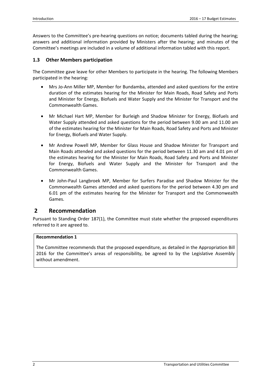Answers to the Committee's pre-hearing questions on notice; documents tabled during the hearing; answers and additional information provided by Ministers after the hearing; and minutes of the Committee's meetings are included in a volume of additional information tabled with this report.

## <span id="page-7-0"></span>**1.3 Other Members participation**

The Committee gave leave for other Members to participate in the hearing. The following Members participated in the hearing:

- Mrs Jo-Ann Miller MP, Member for Bundamba, attended and asked questions for the entire duration of the estimates hearing for the Minister for Main Roads, Road Safety and Ports and Minister for Energy, Biofuels and Water Supply and the Minister for Transport and the Commonwealth Games.
- Mr Michael Hart MP, Member for Burleigh and Shadow Minister for Energy, Biofuels and Water Supply attended and asked questions for the period between 9.00 am and 11.00 am of the estimates hearing for the Minister for Main Roads, Road Safety and Ports and Minister for Energy, Biofuels and Water Supply.
- Mr Andrew Powell MP, Member for Glass House and Shadow Minister for Transport and Main Roads attended and asked questions for the period between 11.30 am and 4.01 pm of the estimates hearing for the Minister for Main Roads, Road Safety and Ports and Minister for Energy, Biofuels and Water Supply and the Minister for Transport and the Commonwealth Games.
- Mr John-Paul Langbroek MP, Member for Surfers Paradise and Shadow Minister for the Commonwealth Games attended and asked questions for the period between 4.30 pm and 6.01 pm of the estimates hearing for the Minister for Transport and the Commonwealth Games.

# <span id="page-7-1"></span>**2 Recommendation**

Pursuant to Standing Order 187(1), the Committee must state whether the proposed expenditures referred to it are agreed to.

#### **Recommendation 1**

The Committee recommends that the proposed expenditure, as detailed in the Appropriation Bill 2016 for the Committee's areas of responsibility, be agreed to by the Legislative Assembly without amendment.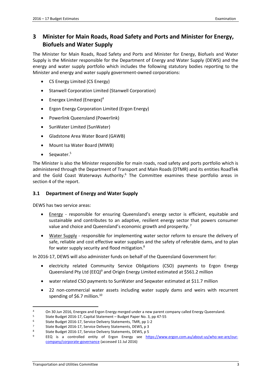# <span id="page-8-0"></span>**3 Minister for Main Roads, Road Safety and Ports and Minister for Energy, Biofuels and Water Supply**

The Minister for Main Roads, Road Safety and Ports and Minister for Energy, Biofuels and Water Supply is the Minister responsible for the Department of Energy and Water Supply (DEWS) and the energy and water supply portfolio which includes the following statutory bodies reporting to the Minister and energy and water supply government-owned corporations:

- CS Energy Limited (CS Energy)
- Stanwell Corporation Limited (Stanwell Corporation)
- **•** Energex Limited (Energex)<sup>4</sup>
- **•** Ergon Energy Corporation Limited (Ergon Energy)
- Powerlink Queensland (Powerlink)
- SunWater Limited (SunWater)
- Gladstone Area Water Board (GAWB)
- Mount Isa Water Board (MIWB)
- $\bullet$  Seqwater.<sup>5</sup>

The Minister is also the Minister responsible for main roads, road safety and ports portfolio which is administered through the Department of Transport and Main Roads (DTMR) and its entities RoadTek and the Gold Coast Waterways Authority.<sup>6</sup> The Committee examines these portfolio areas in section 4 of the report.

#### <span id="page-8-1"></span>**3.1 Department of Energy and Water Supply**

DEWS has two service areas:

- Energy responsible for ensuring Queensland's energy sector is efficient, equitable and sustainable and contributes to an adaptive, resilient energy sector that powers consumer value and choice and Queensland's economic growth and prosperity.<sup>7</sup>
- Water Supply responsible for implementing water sector reform to ensure the delivery of safe, reliable and cost effective water supplies and the safety of referable dams, and to plan for water supply security and flood mitigation.<sup>8</sup>

In 2016-17, DEWS will also administer funds on behalf of the Queensland Government for:

- electricity related Community Service Obligations (CSO) payments to Ergon Energy Queensland Pty Ltd (EEQ)<sup>9</sup> and Origin Energy Limited estimated at \$561.2 million
- water related CSO payments to SunWater and Seqwater estimated at \$11.7 million
- 22 non-commercial water assets including water supply dams and weirs with recurrent spending of \$6.7 million.<sup>10</sup>

-

<sup>4</sup> On 30 Jun 2016, Energex and Ergon Energy merged under a new parent company called Energy Queensland.

<sup>5</sup> State Budget 2016-17, Capital Statement – Budget Paper No. 3, pp 47-55

<sup>6</sup> State Budget 2016-17, Service Delivery Statements, TMR, pp 1-2

<sup>7</sup> State Budget 2016-17, Service Delivery Statements, DEWS, p 3<br>8 State Budget 2016-17, Service Delivery Statements, DEWS, p 5

State Budget 2016-17, Service Delivery Statements, DEWS, p 5

<sup>9</sup> EEQ is a controlled entity of Ergon Energy see [https://www.ergon.com.au/about-us/who-we-are/our](https://www.ergon.com.au/about-us/who-we-are/our-company/corporate-governance)[company/corporate-governance](https://www.ergon.com.au/about-us/who-we-are/our-company/corporate-governance) (accessed 11 Jul 2016)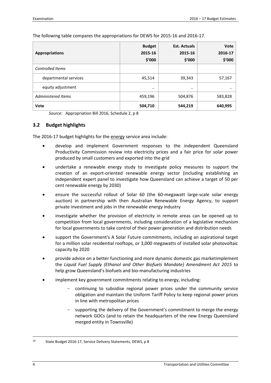The following table compares the appropriations for DEWS for 2015-16 and 2016-17.

| <b>Appropriations</b>     | <b>Budget</b><br>2015-16<br>\$'000 | <b>Est. Actuals</b><br>2015-16<br>\$′000 | Vote<br>2016-17<br>\$′000 |
|---------------------------|------------------------------------|------------------------------------------|---------------------------|
| <b>Controlled Items</b>   |                                    |                                          |                           |
| departmental services     | 45,514                             | 39,343                                   | 57,167                    |
| equity adjustment         | $\cdot$ .                          | $\cdot \cdot$                            |                           |
| <b>Administered Items</b> | 459,196                            | 504,876                                  | 583,828                   |
| Vote                      | 504,710                            | 544,219                                  | 640,995                   |

*Source:* Appropriation Bill 2016, Schedule 2, p 8

#### <span id="page-9-0"></span>**3.2 Budget highlights**

The 2016-17 budget highlights for the energy service area include:

- develop and implement Government responses to the independent Queensland Productivity Commission review into electricity prices and a fair price for solar power produced by small customers and exported into the grid
- undertake a renewable energy study to investigate policy measures to support the creation of an export-oriented renewable energy sector (including establishing an independent expert panel to investigate how Queensland can achieve a target of 50 per cent renewable energy by 2030)
- ensure the successful rollout of Solar 60 (the 60-megawatt large-scale solar energy auction) in partnership with then Australian Renewable Energy Agency, to support private investment and jobs in the renewable energy industry
- investigate whether the provision of electricity in remote areas can be opened up to competition from local governments, including consideration of a legislative mechanism for local governments to take control of their power generation and distribution needs
- support the Government's A Solar Future commitments, including an aspirational target for a million solar residential rooftops, or 3,000 megawatts of installed solar photovoltaic capacity by 2020
- provide advice on a better functioning and more dynamic domestic gas marketimplement the *Liquid Fuel Supply (Ethanol and Other Biofuels Mandate) Amendment Act 2015* to help grow Queensland's biofuels and bio-manufacturing industries
- implement key government commitments relating to energy, including:
	- continuing to subsidise regional power prices under the community service obligation and maintain the Uniform Tariff Policy to keep regional power prices in line with metropolitan prices
	- supporting the delivery of the Government's commitment to merge the energy network GOCs (and to retain the headquarters of the new Energy Queensland merged entity in Townsville)

<sup>10</sup> State Budget 2016-17, Service Delivery Statements, DEWS, p 8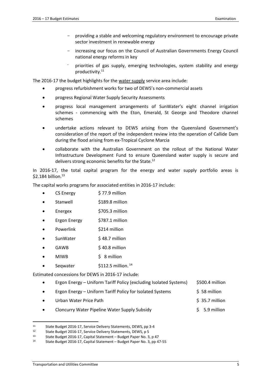- providing a stable and welcoming regulatory environment to encourage private sector investment in renewable energy
- increasing our focus on the Council of Australian Governments Energy Council national energy reforms in key
- priorities of gas supply, emerging technologies, system stability and energy productivity. 11

The 2016-17 the budget highlights for the water supply service area include:

- progress refurbishment works for two of DEWS's non-commercial assets
- progress Regional Water Supply Security Assessments
- progress local management arrangements of SunWater's eight channel irrigation schemes - commencing with the Eton, Emerald, St George and Theodore channel schemes
- undertake actions relevant to DEWS arising from the Queensland Government's consideration of the report of the independent review into the operation of Callide Dam during the flood arising from ex-Tropical Cyclone Marcia
- collaborate with the Australian Government on the rollout of the National Water Infrastructure Development Fund to ensure Queensland water supply is secure and delivers strong economic benefits for the State.<sup>12</sup>

In 2016-17, the total capital program for the energy and water supply portfolio areas is \$2.184 billion. 13

The capital works programs for associated entities in 2016-17 include:

- CS Energy \$77.9 million
- Stanwell \$189.8 million
- Energex \$705.3 million
- Ergon Energy \$787.1 million
- Powerlink \$214 million
- SunWater \$48.7 million
- GAWB \$40.8 million
- MIWB \$ 8 million
- Seqwater  $$112.5$  million.<sup>14</sup>

Estimated concessions for DEWS in 2016-17 include:

- Ergon Energy Uniform Tariff Policy (excluding Isolated Systems) \$500.4 million
- Ergon Energy Uniform Tariff Policy for Isolated Systems \$ 58 million
- Urban Water Price Path **\$ 35.7 million**
- Cloncurry Water Pipeline Water Supply Subsidy \$ 5.9 million

-

<sup>11</sup> State Budget 2016-17, Service Delivery Statements, DEWS, pp 3-4<br>12 State Budget 2016-17, Service Delivery Statements, DEWS, p.5

<sup>12</sup> State Budget 2016-17, Service Delivery Statements, DEWS, p 5<br>13 State Budget 2016-17, Capital Statement – Budget Paper No. 3

<sup>13</sup> State Budget 2016-17, Capital Statement – Budget Paper No. 3, p 47<br>14 State Budget 2016-17, Capital Statement – Budget Paper No. 3, pp 47

State Budget 2016-17, Capital Statement – Budget Paper No. 3, pp 47-55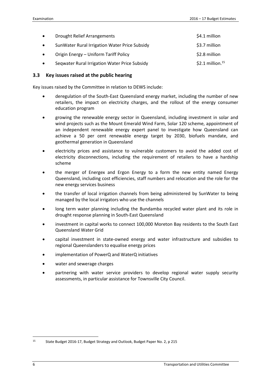| $\bullet$ | <b>Drought Relief Arrangements</b>            | \$4.1 million       |
|-----------|-----------------------------------------------|---------------------|
|           | SunWater Rural Irrigation Water Price Subsidy | \$3.7 million       |
|           | Origin Energy - Uniform Tariff Policy         | \$2.8 million       |
|           | Seqwater Rural Irrigation Water Price Subsidy | \$2.1 million. $15$ |

#### <span id="page-11-0"></span>**3.3 Key issues raised at the public hearing**

Key issues raised by the Committee in relation to DEWS include:

- deregulation of the South-East Queensland energy market, including the number of new retailers, the impact on electricity charges, and the rollout of the energy consumer education program
- growing the renewable energy sector in Queensland, including investment in solar and wind projects such as the Mount Emerald Wind Farm, Solar 120 scheme, appointment of an independent renewable energy expert panel to investigate how Queensland can achieve a 50 per cent renewable energy target by 2030, biofuels mandate, and geothermal generation in Queensland
- electricity prices and assistance to vulnerable customers to avoid the added cost of electricity disconnections, including the requirement of retailers to have a hardship scheme
- the merger of Energex and Ergon Energy to a form the new entity named Energy Queensland, including cost efficiencies, staff numbers and relocation and the role for the new energy services business
- the transfer of local irrigation channels from being administered by SunWater to being managed by the local irrigators who use the channels
- long term water planning including the Bundamba recycled water plant and its role in drought response planning in South-East Queensland
- investment in capital works to connect 100,000 Moreton Bay residents to the South East Queensland Water Grid
- capital investment in state-owned energy and water infrastructure and subsidies to regional Queenslanders to equalise energy prices
- implementation of PowerQ and WaterQ initiatives
- water and sewerage charges
- partnering with water service providers to develop regional water supply security assessments, in particular assistance for Townsville City Council.

<sup>15</sup> State Budget 2016-17, Budget Strategy and Outlook, Budget Paper No. 2, p 215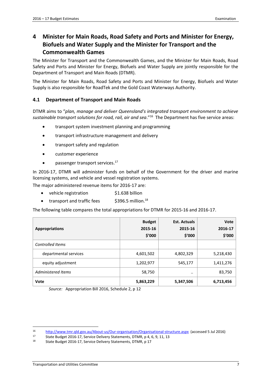# <span id="page-12-0"></span>**4 Minister for Main Roads, Road Safety and Ports and Minister for Energy, Biofuels and Water Supply and the Minister for Transport and the Commonwealth Games**

The Minister for Transport and the Commonwealth Games, and the Minister for Main Roads, Road Safety and Ports and Minister for Energy, Biofuels and Water Supply are jointly responsible for the Department of Transport and Main Roads (DTMR).

The Minister for Main Roads, Road Safety and Ports and Minister for Energy, Biofuels and Water Supply is also responsible for RoadTek and the Gold Coast Waterways Authority.

# <span id="page-12-1"></span>**4.1 Department of Transport and Main Roads**

DTMR aims to "*plan, manage and deliver Queensland's integrated transport environment to achieve sustainable transport solutions for road, rail, air and sea*."<sup>16</sup> The Department has five service areas:

- transport system investment planning and programming
- transport infrastructure management and delivery
- transport safety and regulation
- customer experience
- passenger transport services.<sup>17</sup>

In 2016-17, DTMR will administer funds on behalf of the Government for the driver and marine licensing systems, and vehicle and vessel registration systems.

The major administered revenue items for 2016-17 are:

- vehicle registration \$1.638 billion
- transport and traffic fees  $$396.5$  million.<sup>18</sup>

The following table compares the total appropriations for DTMR for 2015-16 and 2016-17.

| <b>Appropriations</b>   | <b>Budget</b><br>2015-16<br>\$'000 | <b>Est. Actuals</b><br>2015-16<br>\$′000 | <b>Vote</b><br>2016-17<br>\$'000 |
|-------------------------|------------------------------------|------------------------------------------|----------------------------------|
| <b>Controlled Items</b> |                                    |                                          |                                  |
| departmental services   | 4,601,502                          | 4,802,329                                | 5,218,430                        |
| equity adjustment       | 1,202,977                          | 545,177                                  | 1,411,276                        |
| Administered Items      | 58,750                             | $\cdot \cdot$                            | 83,750                           |
| Vote                    | 5,863,229                          | 5,347,506                                | 6,713,456                        |

*Source:* Appropriation Bill 2016, Schedule 2, p 12

<sup>16</sup> 16 <http://www.tmr.qld.gov.au/About-us/Our-organisation/Organisational-structure.aspx> (accessed 5 Jul 2016)<br>17 State Budget 2016-17 Service Delivery Statements DTMR n 4 6 9 11 13

<sup>17</sup> State Budget 2016-17, Service Delivery Statements, DTMR, p 4, 6, 9, 11, 13<br>18 State Budget 2016-17, Service Delivery Statements, DTMP, p 17

State Budget 2016-17, Service Delivery Statements, DTMR, p 17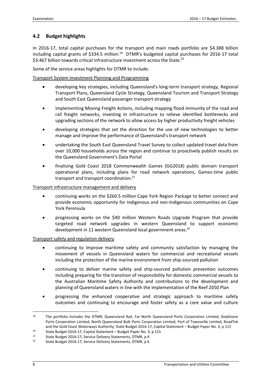# <span id="page-13-0"></span>**4.2 Budget highlights**

In 2016-17, total capital purchases for the transport and main roads portfolio are \$4.388 billion including capital grants of \$334.5 million.<sup>19</sup> DTMR's budgeted capital purchases for 2016-17 total \$3.467 billion towards critical infrastructure investment across the State.<sup>20</sup>

Some of the service areas highlights for DTMR to include:

## Transport System Investment Planning and Programming

- developing key strategies, including Queensland's long-term transport strategy, Regional Transport Plans, Queensland Cycle Strategy, Queensland Tourism and Transport Strategy and South East Queensland passenger transport strategy
- implementing Moving Freight Actions, including mapping flood immunity of the road and rail freight networks, investing in infrastructure to relieve identified bottlenecks and upgrading sections of the network to allow access by higher productivity freight vehicles
- developing strategies that set the direction for the use of new technologies to better manage and improve the performance of Queensland's transport network
- undertaking the South East Queensland Travel Survey to collect updated travel data from over 10,000 households across the region and continue to proactively publish results on the Queensland Government's Data Portal
- finalising Gold Coast 2018 Commonwealth Games (GG2018) public domain transport operational plans, including plans for road network operations, Games-time public transport and transport coordination.<sup>21</sup>

#### Transport infrastructure management and delivery

- continuing works on the \$260.5 million Cape York Region Package to better connect and provide economic opportunity for Indigenous and non-Indigenous communities on Cape York Peninsula
- progressing works on the \$40 million Western Roads Upgrade Program that provide targeted road network upgrades in western Queensland to support economic development in 11 western Queensland local government areas. 22

#### Transport safety and regulation delivery

- continuing to improve maritime safety and community satisfaction by managing the movement of vessels in Queensland waters for commercial and recreational vessels including the protection of the marine environment from ship-sourced pollution
- continuing to deliver marine safety and ship-sourced pollution prevention outcomes including preparing for the transition of responsibility for domestic commercial vessels to the Australian Maritime Safety Authority and contributions to the development and planning of Queensland waters in line with the implementation of the Reef 2050 Plan
- progressing the enhanced cooperative and strategic approach to maritime safety outcomes and continuing to encourage and foster safety as a core value and culture

<sup>1</sup> <sup>19</sup> The portfolio includes the DTMR, Queensland Rail, Far North Queensland Ports Corporation Limited, Gladstone Ports Corporation Limited, North Queensland Bulk Ports Corporation Limited, Port of Townsville Limited, RoadTek and the Gold Coast Waterways Authority; State Budget 2016-17, Capital Statement – Budget Paper No. 3, p 115

<sup>&</sup>lt;sup>20</sup> State Budget 2016-17, Capital Statement – Budget Paper No. 3, p 115<br><sup>21</sup> State Budget 2016-17, Service Delivery Statements, DTMP, p 4

<sup>&</sup>lt;sup>21</sup> State Budget 2016-17, Service Delivery Statements, DTMR, p 4<br><sup>22</sup> State Budget 2016-17, Service Delivery Statements, DTMR, p 6

State Budget 2016-17, Service Delivery Statements, DTMR, p 6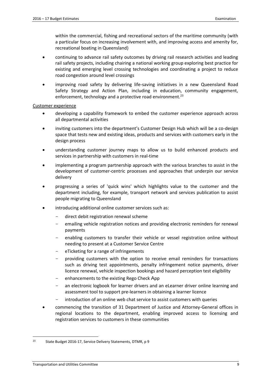within the commercial, fishing and recreational sectors of the maritime community (with a particular focus on increasing involvement with, and improving access and amenity for, recreational boating in Queensland)

- continuing to advance rail safety outcomes by driving rail research activities and leading rail safety projects, including chairing a national working group exploring best practice for existing and emerging level crossing technologies and coordinating a project to reduce road congestion around level crossings
- improving road safety by delivering life-saving initiatives in a new Queensland Road Safety Strategy and Action Plan, including in education, community engagement, enforcement, technology and a protective road environment.<sup>23</sup>

Customer experience

- developing a capability framework to embed the customer experience approach across all departmental activities
- inviting customers into the department's Customer Design Hub which will be a co-design space that tests new and existing ideas, products and services with customers early in the design process
- understanding customer journey maps to allow us to build enhanced products and services in partnership with customers in real-time
- implementing a program partnership approach with the various branches to assist in the development of customer-centric processes and approaches that underpin our service delivery
- progressing a series of 'quick wins' which highlights value to the customer and the department including, for example, transport network and services publication to assist people migrating to Queensland
- introducing additional online customer services such as:
	- direct debit registration renewal scheme
	- emailing vehicle registration notices and providing electronic reminders for renewal payments
	- enabling customers to transfer their vehicle or vessel registration online without needing to present at a Customer Service Centre
	- eTicketing for a range of infringements
	- providing customers with the option to receive email reminders for transactions such as driving test appointments, penalty infringement notice payments, driver licence renewal, vehicle inspection bookings and hazard perception test eligibility
	- enhancements to the existing Rego Check App
	- an electronic logbook for learner drivers and an eLearner driver online learning and assessment tool to support pre-learners in obtaining a learner licence
	- introduction of an online web chat service to assist customers with queries
- commencing the transition of 31 Department of Justice and Attorney-General offices in regional locations to the department, enabling improved access to licensing and registration services to customers in these communities

<sup>1</sup> <sup>23</sup> State Budget 2016-17, Service Delivery Statements, DTMR, p 9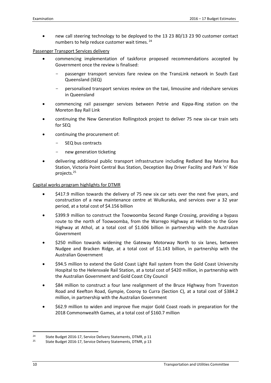new call steering technology to be deployed to the 13 23 80/13 23 90 customer contact numbers to help reduce customer wait times. <sup>24</sup>

Passenger Transport Services delivery

- commencing implementation of taskforce proposed recommendations accepted by Government once the review is finalised:
	- passenger transport services fare review on the TransLink network in South East Queensland (SEQ)
	- personalised transport services review on the taxi, limousine and rideshare services in Queensland
- commencing rail passenger services between Petrie and Kippa-Ring station on the Moreton Bay Rail Link
- continuing the New Generation Rollingstock project to deliver 75 new six-car train sets for SEQ
- continuing the procurement of:
	- SEQ bus contracts
	- new generation ticketing
- delivering additional public transport infrastructure including Redland Bay Marina Bus Station, Victoria Point Central Bus Station, Deception Bay Driver Facility and Park 'n' Ride projects. 25

Capital works program highlights for DTMR

- \$417.9 million towards the delivery of 75 new six car sets over the next five years, and construction of a new maintenance centre at Wulkuraka, and services over a 32 year period, at a total cost of \$4.156 billion
- \$399.9 million to construct the Toowoomba Second Range Crossing, providing a bypass route to the north of Toowoomba, from the Warrego Highway at Helidon to the Gore Highway at Athol, at a total cost of \$1.606 billion in partnership with the Australian Government
- \$250 million towards widening the Gateway Motorway North to six lanes, between Nudgee and Bracken Ridge, at a total cost of \$1.143 billion, in partnership with the Australian Government
- \$94.5 million to extend the Gold Coast Light Rail system from the Gold Coast University Hospital to the Helensvale Rail Station, at a total cost of \$420 million, in partnership with the Australian Government and Gold Coast City Council
- \$84 million to construct a four lane realignment of the Bruce Highway from Traveston Road and Keefton Road, Gympie, Cooroy to Curra (Section C), at a total cost of \$384.2 million, in partnership with the Australian Government
- \$62.9 million to widen and improve five major Gold Coast roads in preparation for the 2018 Commonwealth Games, at a total cost of \$160.7 million

 $24$ <sup>24</sup> State Budget 2016-17, Service Delivery Statements, DTMR, p 11<br><sup>25</sup> State Budget 2016-17, Service Delivery Statements, DTMR, p 13

<sup>25</sup> State Budget 2016-17, Service Delivery Statements, DTMR, p 13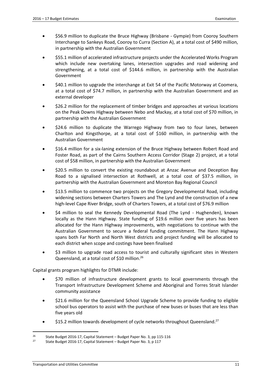- \$56.9 million to duplicate the Bruce Highway (Brisbane Gympie) from Cooroy Southern Interchange to Sankeys Road, Cooroy to Curra (Section A), at a total cost of \$490 million, in partnership with the Australian Government
- \$55.1 million of accelerated infrastructure projects under the Accelerated Works Program which include new overtaking lanes, intersection upgrades and road widening and strengthening, at a total cost of \$144.6 million, in partnership with the Australian Government
- \$40.1 million to upgrade the interchange at Exit 54 of the Pacific Motorway at Coomera, at a total cost of \$74.7 million, in partnership with the Australian Government and an external developer
- \$26.2 million for the replacement of timber bridges and approaches at various locations on the Peak Downs Highway between Nebo and Mackay, at a total cost of \$70 million, in partnership with the Australian Government
- \$24.6 million to duplicate the Warrego Highway from two to four lanes, between Charlton and Kingsthorpe, at a total cost of \$160 million, in partnership with the Australian Government
- \$16.4 million for a six-laning extension of the Bruce Highway between Robert Road and Foster Road, as part of the Cairns Southern Access Corridor (Stage 2) project, at a total cost of \$58 million, in partnership with the Australian Government
- \$20.5 million to convert the existing roundabout at Anzac Avenue and Deception Bay Road to a signalised intersection at Rothwell, at a total cost of \$37.5 million, in partnership with the Australian Government and Moreton Bay Regional Council
- \$13.5 million to commence two projects on the Gregory Developmental Road, including widening sections between Charters Towers and The Lynd and the construction of a new high-level Cape River Bridge, south of Charters Towers, at a total cost of \$76.9 million
- \$4 million to seal the Kennedy Developmental Road (The Lynd Hughenden), known locally as the Hann Highway. State funding of \$19.6 million over five years has been allocated for the Hann Highway improvements, with negotiations to continue with the Australian Government to secure a federal funding commitment. The Hann Highway spans both Far North and North West districts and project funding will be allocated to each district when scope and costings have been finalised
- \$3 million to upgrade road access to tourist and culturally significant sites in Western Queensland, at a total cost of \$10 million.<sup>26</sup>

Capital grants program highlights for DTMR include:

- \$70 million of infrastructure development grants to local governments through the Transport Infrastructure Development Scheme and Aboriginal and Torres Strait Islander community assistance
- \$21.6 million for the Queensland School Upgrade Scheme to provide funding to eligible school bus operators to assist with the purchase of new buses or buses that are less than five years old
- \$15.2 million towards development of cycle networks throughout Queensland.<sup>27</sup>

<sup>&</sup>lt;sup>26</sup> State Budget 2016-17, Capital Statement – Budget Paper No. 3, pp 115-116<br><sup>27</sup> State Budget 2016-17, Capital Statement – Budget Paper No. 3, p. 117

<sup>27</sup> State Budget 2016-17, Capital Statement – Budget Paper No. 3, p 117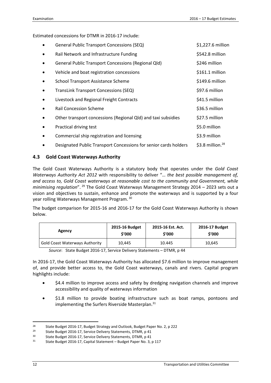Estimated concessions for DTMR in 2016-17 include:

| General Public Transport Concessions (SEQ)                       | \$1,227.6 million      |
|------------------------------------------------------------------|------------------------|
| Rail Network and Infrastructure Funding                          | \$542.8 million        |
| <b>General Public Transport Concessions (Regional Qld)</b>       | \$246 million          |
| Vehicle and boat registration concessions                        | \$161.1 million        |
| <b>School Transport Assistance Scheme</b>                        | \$149.6 million        |
| TransLink Transport Concessions (SEQ)                            | \$97.6 million         |
| Livestock and Regional Freight Contracts                         | \$41.5 million         |
| <b>Rail Concession Scheme</b>                                    | \$36.5 million         |
| Other transport concessions (Regional Qld) and taxi subsidies    | \$27.5 million         |
| Practical driving test                                           | \$5.0 million          |
| Commercial ship registration and licensing                       | \$3.9 million          |
| Designated Public Transport Concessions for senior cards holders | \$3.8 million. $^{28}$ |

#### <span id="page-17-0"></span>**4.3 Gold Coast Waterways Authority**

The Gold Coast Waterways Authority is a statutory body that operates under the *Gold Coast Waterways Authority Act 2012* with responsibility to deliver "… *the best possible management of, and access to, Gold Coast waterways at reasonable cost to the community and Government, while minimising regulation*". <sup>29</sup> The Gold Coast Waterways Management Strategy 2014 – 2023 sets out a vision and objectives to sustain, enhance and promote the waterways and is supported by a four year rolling Waterways Management Program. <sup>30</sup>

The budget comparison for 2015-16 and 2016-17 for the Gold Coast Waterways Authority is shown below.

| Agency                                | 2015-16 Budget | 2015-16 Est. Act. | 2016-17 Budget |
|---------------------------------------|----------------|-------------------|----------------|
|                                       | \$′000         | \$′000            | \$'000         |
| <b>Gold Coast Waterways Authority</b> | 10.445         | 10.445            | 10.645         |

*Source*: State Budget 2016-17, Service Delivery Statements – DTMR, p 44

In 2016-17, the Gold Coast Waterways Authority has allocated \$7.6 million to improve management of, and provide better access to, the Gold Coast waterways, canals and rivers. Capital program highlights include:

- \$4.4 million to improve access and safety by dredging navigation channels and improve accessibility and quality of waterways information
- \$1.8 million to provide boating infrastructure such as boat ramps, pontoons and implementing the Surfers Riverside Masterplan.<sup>31</sup>

-

<sup>&</sup>lt;sup>28</sup> State Budget 2016-17, Budget Strategy and Outlook, Budget Paper No. 2, p 222<br><sup>29</sup> State Budget 2016-17, Service Delivery Statements, DTMR, p 41

<sup>&</sup>lt;sup>29</sup> State Budget 2016-17, Service Delivery Statements, DTMR, p 41<br><sup>30</sup> State Budget 2016-17, Service Delivery Statements, DTMR, p 41

<sup>&</sup>lt;sup>30</sup> State Budget 2016-17, Service Delivery Statements, DTMR, p 41<br> $\frac{31}{2}$  State Budget 2016-17, Capital Statement – Budget Paper No. 3,

State Budget 2016-17, Capital Statement – Budget Paper No. 3, p 117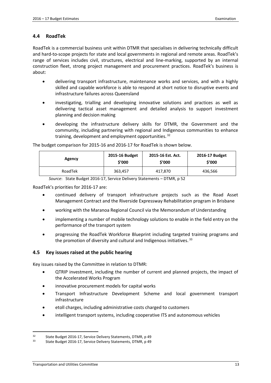#### <span id="page-18-0"></span>**4.4 RoadTek**

RoadTek is a commercial business unit within DTMR that specialises in delivering technically difficult and hard-to-scope projects for state and local governments in regional and remote areas. RoadTek's range of services includes civil, structures, electrical and line-marking, supported by an internal construction fleet, strong project management and procurement practices. RoadTek's business is about:

- delivering transport infrastructure, maintenance works and services, and with a highly skilled and capable workforce is able to respond at short notice to disruptive events and infrastructure failures across Queensland
- investigating, trialling and developing innovative solutions and practices as well as delivering tactical asset management and detailed analysis to support investment planning and decision making
- developing the infrastructure delivery skills for DTMR, the Government and the community, including partnering with regional and Indigenous communities to enhance training, development and employment opportunities.<sup>32</sup>

| Agency  | 2015-16 Budget | 2015-16 Est. Act. | 2016-17 Budget |
|---------|----------------|-------------------|----------------|
|         | \$'000         | \$′000            | \$′000         |
| RoadTek | 363,457        | 417,870           | 436,566        |

The budget comparison for 2015-16 and 2016-17 for RoadTek is shown below.

*Source*: State Budget 2016-17, Service Delivery Statements – DTMR, p 52

RoadTek's priorities for 2016-17 are:

- continued delivery of transport infrastructure projects such as the Road Asset Management Contract and the Riverside Expressway Rehabilitation program in Brisbane
- working with the Maranoa Regional Council via the Memorandum of Understanding
- implementing a number of mobile technology solutions to enable in the field entry on the performance of the transport system
- progressing the RoadTek Workforce Blueprint including targeted training programs and the promotion of diversity and cultural and Indigenous initiatives.<sup>33</sup>

#### <span id="page-18-1"></span>**4.5 Key issues raised at the public hearing**

Key issues raised by the Committee in relation to DTMR:

- QTRIP investment, including the number of current and planned projects, the impact of the Accelerated Works Program
- innovative procurement models for capital works
- Transport Infrastructure Development Scheme and local government transport infrastructure
- etoll charges, including administrative costs charged to customers
- intelligent transport systems, including cooperative ITS and autonomous vehicles

 $32$ <sup>32</sup> State Budget 2016-17, Service Delivery Statements, DTMR, p 49<br><sup>33</sup> State Budget 2016-17, Service Delivery Statements, DTMR, p 49

State Budget 2016-17, Service Delivery Statements, DTMR, p 49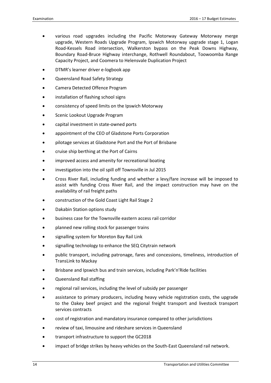- various road upgrades including the Pacific Motorway Gateway Motorway merge upgrade, Western Roads Upgrade Program, Ipswich Motorway upgrade stage 1, Logan Road-Kessels Road intersection, Walkerston bypass on the Peak Downs Highway, Boundary Road-Bruce Highway interchange, Rothwell Roundabout, Toowoomba Range Capacity Project, and Coomera to Helensvale Duplication Project
- DTMR's learner driver e-logbook app
- Queensland Road Safety Strategy
- Camera Detected Offence Program
- installation of flashing school signs
- consistency of speed limits on the Ipswich Motorway
- Scenic Lookout Upgrade Program
- capital investment in state-owned ports
- appointment of the CEO of Gladstone Ports Corporation
- pilotage services at Gladstone Port and the Port of Brisbane
- cruise ship berthing at the Port of Cairns
- improved access and amenity for recreational boating
- investigation into the oil spill off Townsville in Jul 2015
- Cross River Rail, including funding and whether a levy/fare increase will be imposed to assist with funding Cross River Rail, and the impact construction may have on the availability of rail freight paths
- construction of the Gold Coast Light Rail Stage 2
- Dakabin Station options study
- business case for the Townsville eastern access rail corridor
- planned new rolling stock for passenger trains
- signalling system for Moreton Bay Rail Link
- signalling technology to enhance the SEQ Citytrain network
- public transport, including patronage, fares and concessions, timeliness, introduction of TransLink to Mackay
- Brisbane and Ipswich bus and train services, including Park'n'Ride facilities
- Queensland Rail staffing
- regional rail services, including the level of subsidy per passenger
- assistance to primary producers, including heavy vehicle registration costs, the upgrade to the Oakey beef project and the regional freight transport and livestock transport services contracts
- cost of registration and mandatory insurance compared to other jurisdictions
- review of taxi, limousine and rideshare services in Queensland
- transport infrastructure to support the GC2018
- impact of bridge strikes by heavy vehicles on the South-East Queensland rail network.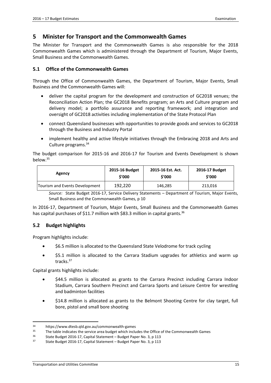# <span id="page-20-0"></span>**5 Minister for Transport and the Commonwealth Games**

The Minister for Transport and the Commonwealth Games is also responsible for the 2018 Commonwealth Games which is administered through the Department of Tourism, Major Events, Small Business and the Commonwealth Games.

#### <span id="page-20-1"></span>**5.1 Office of the Commonwealth Games**

Through the Office of Commonwealth Games, the Department of Tourism, Major Events, Small Business and the Commonwealth Games will:

- deliver the capital program for the development and construction of GC2018 venues; the Reconciliation Action Plan; the GC2018 Benefits program; an Arts and Culture program and delivery model; a portfolio assurance and reporting framework; and integration and oversight of GC2018 activities including implementation of the State Protocol Plan
- connect Queensland businesses with opportunities to provide goods and services to GC2018 through the Business and Industry Portal
- implement healthy and active lifestyle initiatives through the Embracing 2018 and Arts and Culture programs.<sup>34</sup>

The budget comparison for 2015-16 and 2016-17 for Tourism and Events Development is shown below. 35

| Agency                         | 2015-16 Budget | 2015-16 Est. Act. | 2016-17 Budget |
|--------------------------------|----------------|-------------------|----------------|
|                                | \$′000         | \$′000            | \$′000         |
| Tourism and Events Development | 192.220        | 146.285           | 213.016        |

*Source:* State Budget 2016-17, Service Delivery Statements – Department of Tourism, Major Events, Small Business and the Commonwealth Games, p 10

In 2016-17, Department of Tourism, Major Events, Small Business and the Commonwealth Games has capital purchases of \$11.7 million with \$83.3 million in capital grants.<sup>36</sup>

## <span id="page-20-2"></span>**5.2 Budget highlights**

Program highlights include:

- \$6.5 million is allocated to the Queensland State Velodrome for track cycling
- \$5.1 million is allocated to the Carrara Stadium upgrades for athletics and warm up tracks. 37

Capital grants highlights include:

- \$44.5 million is allocated as grants to the Carrara Precinct including Carrara Indoor Stadium, Carrara Southern Precinct and Carrara Sports and Leisure Centre for wrestling and badminton facilities
- \$14.8 million is allocated as grants to the Belmont Shooting Centre for clay target, full bore, pistol and small bore shooting

-

 $34$  https://www.dtesb.qld.gov.au/commonwealth-games<br> $35$  The table indicates the service area budget which inclu

<sup>35</sup> The table indicates the service area budget which includes the Office of the Commonwealth Games<br>36 State Budget 2016 17 Capital Statement – Budget Baper No. 2, p.113

<sup>&</sup>lt;sup>36</sup> State Budget 2016-17, Capital Statement – Budget Paper No. 3, p 113<br><sup>37</sup> State Budget 2016-17, Capital Statement – Budget Paper No. 3, p 113

<sup>37</sup> State Budget 2016-17, Capital Statement – Budget Paper No. 3, p 113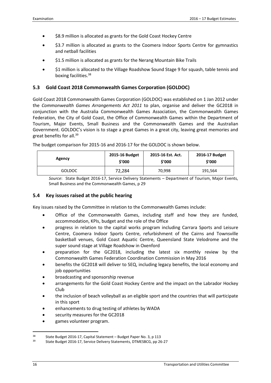- \$8.9 million is allocated as grants for the Gold Coast Hockey Centre
- \$3.7 million is allocated as grants to the Coomera Indoor Sports Centre for gymnastics and netball facilities
- \$1.5 million is allocated as grants for the Nerang Mountain Bike Trails
- \$1 million is allocated to the Village Roadshow Sound Stage 9 for squash, table tennis and boxing facilities.<sup>38</sup>

## <span id="page-21-0"></span>**5.3 Gold Coast 2018 Commonwealth Games Corporation (GOLDOC)**

Gold Coast 2018 Commonwealth Games Corporation (GOLDOC) was established on 1 Jan 2012 under the *Commonwealth Games Arrangements Act 2011* to plan, organise and deliver the GC2018 in conjunction with the Australia Commonwealth Games Association, the Commonwealth Games Federation, the City of Gold Coast, the Office of Commonwealth Games within the Department of Tourism, Major Events, Small Business and the Commonwealth Games and the Australian Government. GOLDOC's vision is to stage a great Games in a great city, leaving great memories and great benefits for all.<sup>39</sup>

| Agency        | 2015-16 Budget | 2015-16 Est. Act. | 2016-17 Budget |
|---------------|----------------|-------------------|----------------|
|               | \$′000         | \$'000            | \$'000         |
| <b>GOLDOC</b> | 72,284         | 70,998            | 191,564        |

The budget comparison for 2015-16 and 2016-17 for the GOLDOC is shown below.

*Source*: State Budget 2016-17, Service Delivery Statements – Department of Tourism, Major Events, Small Business and the Commonwealth Games, p 29

#### <span id="page-21-1"></span>**5.4 Key issues raised at the public hearing**

Key issues raised by the Committee in relation to the Commonwealth Games include:

- Office of the Commonwealth Games, including staff and how they are funded, accommodation, KPIs, budget and the role of the Office
- progress in relation to the capital works program including Carrara Sports and Leisure Centre, Coomera Indoor Sports Centre, refurbishment of the Cairns and Townsville basketball venues, Gold Coast Aquatic Centre, Queensland State Velodrome and the super sound stage at Village Roadshow in Oxenford
- preparation for the GC2018, including the latest six monthly review by the Commonwealth Games Federation Coordination Commission in May 2016
- benefits the GC2018 will deliver to SEQ, including legacy benefits, the local economy and job opportunities
- broadcasting and sponsorship revenue
- arrangements for the Gold Coast Hockey Centre and the impact on the Labrador Hockey Club
- the inclusion of beach volleyball as an eligible sport and the countries that will participate in this sport
- enhancements to drug testing of athletes by WADA
- security measures for the GC2018
- games volunteer program.

<sup>38</sup> State Budget 2016-17, Capital Statement – Budget Paper No. 3, p 113<br>39 State Budget 2016-17, Service Delivery Statements, DTMESBCG, pp. 26

<sup>39</sup> State Budget 2016-17, Service Delivery Statements, DTMESBCG, pp 26-27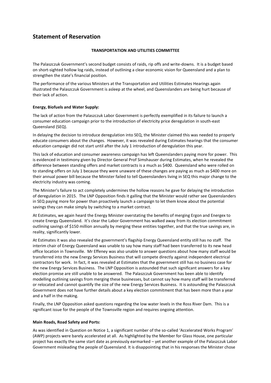# <span id="page-22-0"></span>**Statement of Reservation**

#### **TRANSPORTATION AND UTILITIES COMMITTEE**

The Palaszczuk Government's second budget consists of raids, rip offs and write-downs. It is a budget based on short-sighted hollow log raids, instead of outlining a clear economic vision for Queensland and a plan to strengthen the state's financial position.

The performance of the various Ministers at the Transportation and Utilities Estimates Hearings again illustrated the Palaszczuk Government is asleep at the wheel, and Queenslanders are being hurt because of their lack of action.

#### **Energy, Biofuels and Water Supply:**

The lack of action from the Palaszczuk Labor Government is perfectly exemplified in its failure to launch a consumer education campaign prior to the introduction of electricity price deregulation in south-east Queensland (SEQ).

In delaying the decision to introduce deregulation into SEQ, the Minister claimed this was needed to properly educate consumers about the changes. However, it was revealed during Estimates hearings that the consumer education campaign did not start until after the July 1 introduction of deregulation this year.

This lack of education and consumer awareness campaign has left Queenslanders paying more for power. This is evidenced in testimony given by Director General Prof Simshauser during Estimates, when he revealed the difference between standing offers and market contracts is a much as \$400. Queensland who were rolled on to standing offers on July 1 because they were unaware of these changes are paying as much as \$400 more on their annual power bill because the Minister failed to tell Queenslanders living in SEQ this major change to the electricity industry was coming.

The Minister's failure to act completely undermines the hollow reasons he gave for delaying the introduction of deregulation in 2015. The LNP Opposition finds it galling that the Minister would rather see Queenslanders in SEQ paying more for power than proactively launch a campaign to let them know about the potential savings they can make simply by switching to a market contract.

At Estimates, we again heard the Energy Minister overstating the benefits of merging Ergon and Energex to create Energy Queensland. It's clear the Labor Government has walked away from its election commitment outlining savings of \$150 million annually by merging these entities together, and that the true savings are, in reality, significantly lower.

At Estimates it was also revealed the government's flagship Energy Queensland entity still has no staff. The interim chair of Energy Queensland was unable to say how many staff had been transferred to its new head office location in Townsville. Mr Effeney was also unable to answer questions about how many staff would be transferred into the new Energy Services Business that will compete directly against independent electrical contractors for work. In fact, it was revealed at Estimates that the government still has no business case for the new Energy Services Business. The LNP Opposition is astounded that such significant answers for a key election promise are still unable to be answered. The Palaszczuk Government has been able to identify modelling outlining savings from merging these businesses, but cannot say how many staff will be transferred or relocated and cannot quantify the size of the new Energy Services Business. It is astounding the Palaszczuk Government does not have further details about a key election commitment that has been more than a year and a half in the making.

Finally, the LNP Opposition asked questions regarding the low water levels in the Ross River Dam. This is a significant issue for the people of the Townsville region and requires ongoing attention.

#### **Main Roads, Road Safety and Ports:**

As was identified in Question on Notice 1, a significant number of the so-called 'Accelerated Works Program' (AWP) projects were barely accelerated at all. As highlighted by the Member for Glass House, one particular project has exactly the same start date as previously earmarked – yet another example of the Palaszczuk Labor Government misleading the people of Queensland. It is disappointing that in his responses the Minister chose